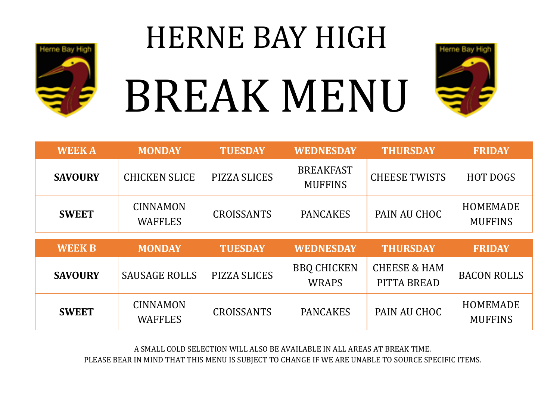

# HERNE BAY HIGH BREAK MENU



| <b>WEEKA</b>   | <b>MONDAY</b>                     | <b>TUESDAY</b>    | <b>WEDNESDAY</b>                   | <b>THURSDAY</b>                        | <b>FRIDAY</b>                     |
|----------------|-----------------------------------|-------------------|------------------------------------|----------------------------------------|-----------------------------------|
| <b>SAVOURY</b> | <b>CHICKEN SLICE</b>              | PIZZA SLICES      | <b>BREAKFAST</b><br><b>MUFFINS</b> | <b>CHEESE TWISTS</b>                   | <b>HOT DOGS</b>                   |
| <b>SWEET</b>   | <b>CINNAMON</b><br><b>WAFFLES</b> | <b>CROISSANTS</b> | <b>PANCAKES</b>                    | PAIN AU CHOC                           | <b>HOMEMADE</b><br><b>MUFFINS</b> |
|                |                                   |                   |                                    |                                        |                                   |
|                |                                   |                   |                                    |                                        |                                   |
| <b>WEEK B</b>  | <b>MONDAY</b>                     | <b>TUESDAY</b>    | <b>WEDNESDAY</b>                   | <b>THURSDAY</b>                        | <b>FRIDAY</b>                     |
| <b>SAVOURY</b> | <b>SAUSAGE ROLLS</b>              | PIZZA SLICES      | <b>BBQ CHICKEN</b><br><b>WRAPS</b> | <b>CHEESE &amp; HAM</b><br>PITTA BREAD | <b>BACON ROLLS</b>                |

A SMALL COLD SELECTION WILL ALSO BE AVAILABLE IN ALL AREAS AT BREAK TIME.

PLEASE BEAR IN MIND THAT THIS MENU IS SUBJECT TO CHANGE IF WE ARE UNABLE TO SOURCE SPECIFIC ITEMS.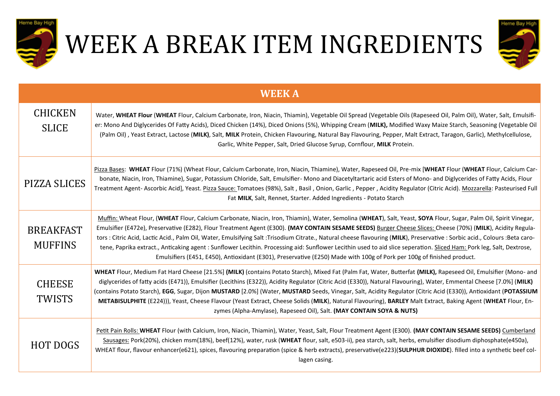

## WEEK A BREAK ITEM INGREDIENTS



| <b>WEEK A</b>                      |                                                                                                                                                                                                                                                                                                                                                                                                                                                                                                                                                                                                                                                                                                                                                                                                                    |  |  |
|------------------------------------|--------------------------------------------------------------------------------------------------------------------------------------------------------------------------------------------------------------------------------------------------------------------------------------------------------------------------------------------------------------------------------------------------------------------------------------------------------------------------------------------------------------------------------------------------------------------------------------------------------------------------------------------------------------------------------------------------------------------------------------------------------------------------------------------------------------------|--|--|
| <b>CHICKEN</b><br><b>SLICE</b>     | Water, WHEAT Flour (WHEAT Flour, Calcium Carbonate, Iron, Niacin, Thiamin), Vegetable Oil Spread (Vegetable Oils (Rapeseed Oil, Palm Oil), Water, Salt, Emulsifi-<br>er: Mono And Diglycerides Of Fatty Acids), Diced Chicken (14%), Diced Onions (5%), Whipping Cream (MILK), Modified Waxy Maize Starch, Seasoning (Vegetable Oil<br>(Palm Oil), Yeast Extract, Lactose (MILK), Salt, MILK Protein, Chicken Flavouring, Natural Bay Flavouring, Pepper, Malt Extract, Taragon, Garlic), Methylcellulose,<br>Garlic, White Pepper, Salt, Dried Glucose Syrup, Cornflour, MILK Protein.                                                                                                                                                                                                                            |  |  |
| PIZZA SLICES                       | Pizza Bases: WHEAT Flour (71%) (Wheat Flour, Calcium Carbonate, Iron, Niacin, Thiamine), Water, Rapeseed Oil, Pre-mix [WHEAT Flour (WHEAT Flour, Calcium Car-<br>bonate, Niacin, Iron, Thiamine), Sugar, Potassium Chloride, Salt, Emulsifier-Mono and Diacetyltartaric acid Esters of Mono- and Diglycerides of Fatty Acids, Flour<br>Treatment Agent- Ascorbic Acid], Yeast. Pizza Sauce: Tomatoes (98%), Salt, Basil, Onion, Garlic, Pepper, Acidity Regulator (Citric Acid). Mozzarella: Pasteurised Full<br>Fat MILK, Salt, Rennet, Starter. Added Ingredients - Potato Starch                                                                                                                                                                                                                                |  |  |
| <b>BREAKFAST</b><br><b>MUFFINS</b> | Muffin: Wheat Flour, (WHEAT Flour, Calcium Carbonate, Niacin, Iron, Thiamin), Water, Semolina (WHEAT), Salt, Yeast, SOYA Flour, Sugar, Palm Oil, Spirit Vinegar,<br>Emulsifier (E472e), Preservative (E282), Flour Treatment Agent (E300). (MAY CONTAIN SESAME SEEDS) Burger Cheese Slices: Cheese (70%) (MILK), Acidity Regula-<br>tors : Citric Acid, Lactic Acid., Palm Oil, Water, Emulsifying Salt :Trisodium Citrate., Natural cheese flavouring (MILK), Preservative : Sorbic acid., Colours :Beta caro-<br>tene, Paprika extract., Anticaking agent : Sunflower Lecithin. Processing aid: Sunflower Lecithin used to aid slice seperation. Sliced Ham: Pork leg, Salt, Dextrose,<br>Emulsifiers (E451, E450), Antioxidant (E301), Preservative (E250) Made with 100g of Pork per 100g of finished product. |  |  |
| <b>CHEESE</b><br><b>TWISTS</b>     | WHEAT Flour, Medium Fat Hard Cheese [21.5%] (MILK) (contains Potato Starch), Mixed Fat (Palm Fat, Water, Butterfat (MILK), Rapeseed Oil, Emulsifier (Mono- and<br>diglycerides of fatty acids (E471)), Emulsifier (Lecithins (E322)), Acidity Regulator (Citric Acid (E330)), Natural Flavouring), Water, Emmental Cheese [7.0%] (MILK)<br>(contains Potato Starch), EGG, Sugar, Dijon MUSTARD [2.0%] (Water, MUSTARD Seeds, Vinegar, Salt, Acidity Regulator (Citric Acid (E330)), Antioxidant (POTASSIUM<br>METABISULPHITE (E224))), Yeast, Cheese Flavour (Yeast Extract, Cheese Solids (MILK), Natural Flavouring), BARLEY Malt Extract, Baking Agent (WHEAT Flour, En-<br>zymes (Alpha-Amylase), Rapeseed Oil), Salt. (MAY CONTAIN SOYA & NUTS)                                                               |  |  |
| <b>HOT DOGS</b>                    | Petit Pain Rolls: WHEAT Flour (with Calcium, Iron, Niacin, Thiamin), Water, Yeast, Salt, Flour Treatment Agent (E300). (MAY CONTAIN SESAME SEEDS) Cumberland<br>Sausages: Pork(20%), chicken msm(18%), beef(12%), water, rusk (WHEAT flour, salt, e503-ii), pea starch, salt, herbs, emulsifier disodium diphosphate(e450a),<br>WHEAT flour, flavour enhancer(e621), spices, flavouring preparation (spice & herb extracts), preservative(e223)(SULPHUR DIOXIDE). filled into a synthetic beef col-<br>lagen casing.                                                                                                                                                                                                                                                                                               |  |  |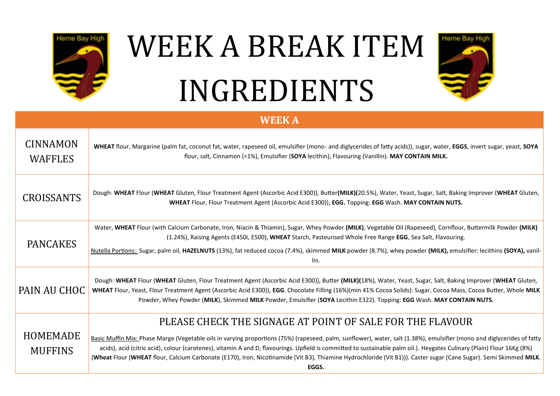

#### WEEK A BREAK ITEM INGREDIENTS

Heme Bay

#### **WEEK A**

| CINNAMON<br><b>WAFFLES</b> | WHEAT flour, Margarine (palm fat, coconut fat, water, rapeseed oil, emulsifier (mono- and diglycerides of fatty acids)), sugar, water, EGGS, invert sugar, yeast, SOYA<br>flour, salt, Cinnamon (<1%), Emulsifier (SOYA lecithin), Flavouring (Vanillin). MAY CONTAIN MILK.                                                                                                                                                                                |
|----------------------------|------------------------------------------------------------------------------------------------------------------------------------------------------------------------------------------------------------------------------------------------------------------------------------------------------------------------------------------------------------------------------------------------------------------------------------------------------------|
| <b>CROISSANTS</b>          | Dough: WHEAT Flour (WHEAT Gluten, Flour Treatment Agent (Ascorbic Acid E300)), Butter(MILK)(20.5%), Water, Yeast, Sugar, Salt, Baking Improver (WHEAT Gluten,<br>WHEAT Flour, Flour Treatment Agent (Ascorbic Acid E300)), EGG. Topping: EGG Wash. MAY CONTAIN NUTS.                                                                                                                                                                                       |
| <b>PANCAKES</b>            | Water, WHEAT Flour (with Calcium Carbonate, Iron, Niacin & Thiamin), Sugar, Whey Powder (MILK), Vegetable Oil (Rapeseed), Cornflour, Buttermilk Powder (MILK)<br>(1.24%), Raising Agents (E450i, E500), WHEAT Starch, Pasteurised Whole Free Range EGG, Sea Salt, Flavouring.                                                                                                                                                                              |
|                            | Nutella Portions: Sugar, palm oil, HAZELNUTS (13%), fat reduced cocoa (7.4%), skimmed MILK powder (8.7%), whey powder (MILK), emulsifier: lecithins (SOYA), vanil-<br>lin.                                                                                                                                                                                                                                                                                 |
| PAIN AU CHOC               | Dough: WHEAT Flour (WHEAT Gluten, Flour Treatment Agent (Ascorbic Acid E300)), Butter (MILK)(18%), Water, Yeast, Sugar, Salt, Baking Improver (WHEAT Gluten,<br>WHEAT Flour, Yeast, Flour Treatment Agent (Ascorbic Acid E300)), EGG. Chocolate Filling (16%)(min 41% Cocoa Solids): Sugar, Cocoa Mass, Cocoa Butter, Whole MILK<br>Powder, Whey Powder (MILK), Skimmed MILK Powder, Emulsifier (SOYA Lecithin E322). Topping: EGG Wash. MAY CONTAIN NUTS. |
|                            | PLEASE CHECK THE SIGNAGE AT POINT OF SALE FOR THE FLAVOUR                                                                                                                                                                                                                                                                                                                                                                                                  |
| <b>HOMEMADE</b>            | Basic Muffin Mix: Phase Marge (Vegetable oils in varying proportions (75%) (rapeseed, palm, sunflower), water, salt (1.38%), emulsifier (mono and diglycerides of fatty                                                                                                                                                                                                                                                                                    |
| <b>MUFFINS</b>             | acids), acid (citric acid), colour (carotenes), vitamin A and D, flavourings. Upfield is committed to sustainable palm oil.). Heygates Culinary (Plain) Flour 16Kg (8%)<br>(Wheat Flour (WHEAT flour, Calcium Carbonate (E170), Iron, Nicotinamide (Vit B3), Thiamine Hydrochloride (Vit B1))). Caster sugar (Cane Sugar). Semi Skimmed MILK.                                                                                                              |
|                            | EGGS.                                                                                                                                                                                                                                                                                                                                                                                                                                                      |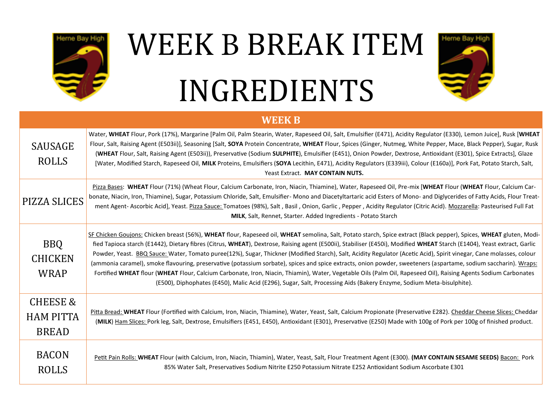

### WEEK B BREAK ITEM INGREDIENTS



#### **WEEK B**

| <b>SAUSAGE</b><br><b>ROLLS</b>                          | Water, WHEAT Flour, Pork (17%), Margarine [Palm Oil, Palm Stearin, Water, Rapeseed Oil, Salt, Emulsifier (E471), Acidity Regulator (E330), Lemon Juice], Rusk [WHEAT<br>Flour, Salt, Raising Agent (E503ii)], Seasoning [Salt, SOYA Protein Concentrate, WHEAT Flour, Spices (Ginger, Nutmeg, White Pepper, Mace, Black Pepper), Sugar, Rusk<br>(WHEAT Flour, Salt, Raising Agent (E503ii)), Preservative (Sodium SULPHITE), Emulsifier (E451), Onion Powder, Dextrose, Antioxidant (E301), Spice Extracts], Glaze<br>[Water, Modified Starch, Rapeseed Oil, MILK Proteins, Emulsifiers (SOYA Lecithin, E471), Acidity Regulators (E339iii), Colour (E160a)], Pork Fat, Potato Starch, Salt,<br>Yeast Extract. MAY CONTAIN NUTS.                                                                                                                                                                                                                                                     |
|---------------------------------------------------------|--------------------------------------------------------------------------------------------------------------------------------------------------------------------------------------------------------------------------------------------------------------------------------------------------------------------------------------------------------------------------------------------------------------------------------------------------------------------------------------------------------------------------------------------------------------------------------------------------------------------------------------------------------------------------------------------------------------------------------------------------------------------------------------------------------------------------------------------------------------------------------------------------------------------------------------------------------------------------------------|
| PIZZA SLICES                                            | Pizza Bases: WHEAT Flour (71%) (Wheat Flour, Calcium Carbonate, Iron, Niacin, Thiamine), Water, Rapeseed Oil, Pre-mix [WHEAT Flour (WHEAT Flour, Calcium Car-<br>bonate, Niacin, Iron, Thiamine), Sugar, Potassium Chloride, Salt, Emulsifier- Mono and Diacetyltartaric acid Esters of Mono- and Diglycerides of Fatty Acids, Flour Treat-<br>ment Agent- Ascorbic Acid], Yeast. Pizza Sauce: Tomatoes (98%), Salt, Basil, Onion, Garlic, Pepper, Acidity Regulator (Citric Acid). Mozzarella: Pasteurised Full Fat<br><b>MILK, Salt, Rennet, Starter. Added Ingredients - Potato Starch</b>                                                                                                                                                                                                                                                                                                                                                                                        |
| <b>BBQ</b><br><b>CHICKEN</b><br><b>WRAP</b>             | SF Chicken Goujons: Chicken breast (56%), WHEAT flour, Rapeseed oil, WHEAT semolina, Salt, Potato starch, Spice extract (Black pepper), Spices, WHEAT gluten, Modi-<br>fied Tapioca starch (E1442), Dietary fibres (Citrus, WHEAT), Dextrose, Raising agent (E500ii), Stabiliser (E450i), Modified WHEAT Starch (E1404), Yeast extract, Garlic<br>Powder, Yeast. BBQ Sauce: Water, Tomato puree(12%), Sugar, Thickner (Modified Starch), Salt, Acidity Regulator (Acetic Acid), Spirit vinegar, Cane molasses, colour<br>(ammonia caramel), smoke flavouring, preservative (potassium sorbate), spices and spice extracts, onion powder, sweeteners (aspartame, sodium saccharin). Wraps:<br>Fortified WHEAT flour (WHEAT Flour, Calcium Carbonate, Iron, Niacin, Thiamin), Water, Vegetable Oils (Palm Oil, Rapeseed Oil), Raising Agents Sodium Carbonates<br>(E500), Diphophates (E450), Malic Acid (E296), Sugar, Salt, Processing Aids (Bakery Enzyme, Sodium Meta-bisulphite). |
| <b>CHEESE &amp;</b><br><b>HAM PITTA</b><br><b>BREAD</b> | Pitta Bread: WHEAT Flour (Fortified with Calcium, Iron, Niacin, Thiamine), Water, Yeast, Salt, Calcium Propionate (Preservative E282). Cheddar Cheese Slices: Cheddar<br>(MILK) Ham Slices: Pork leg, Salt, Dextrose, Emulsifiers (E451, E450), Antioxidant (E301), Preservative (E250) Made with 100g of Pork per 100g of finished product.                                                                                                                                                                                                                                                                                                                                                                                                                                                                                                                                                                                                                                         |
| <b>BACON</b><br><b>ROLLS</b>                            | Petit Pain Rolls: WHEAT Flour (with Calcium, Iron, Niacin, Thiamin), Water, Yeast, Salt, Flour Treatment Agent (E300). (MAY CONTAIN SESAME SEEDS) Bacon: Pork<br>85% Water Salt, Preservatives Sodium Nitrite E250 Potassium Nitrate E252 Antioxidant Sodium Ascorbate E301                                                                                                                                                                                                                                                                                                                                                                                                                                                                                                                                                                                                                                                                                                          |